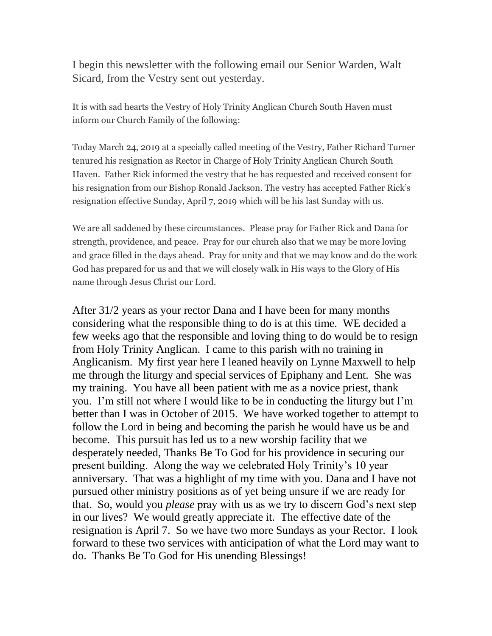I begin this newsletter with the following email our Senior Warden, Walt Sicard, from the Vestry sent out yesterday.

It is with sad hearts the Vestry of Holy Trinity Anglican Church South Haven must inform our Church Family of the following:

Today March 24, 2019 at a specially called meeting of the Vestry, Father Richard Turner tenured his resignation as Rector in Charge of Holy Trinity Anglican Church South Haven. Father Rick informed the vestry that he has requested and received consent for his resignation from our Bishop Ronald Jackson. The vestry has accepted Father Rick's resignation effective Sunday, April 7, 2019 which will be his last Sunday with us.

We are all saddened by these circumstances. Please pray for Father Rick and Dana for strength, providence, and peace. Pray for our church also that we may be more loving and grace filled in the days ahead. Pray for unity and that we may know and do the work God has prepared for us and that we will closely walk in His ways to the Glory of His name through Jesus Christ our Lord.

After 31/2 years as your rector Dana and I have been for many months considering what the responsible thing to do is at this time. WE decided a few weeks ago that the responsible and loving thing to do would be to resign from Holy Trinity Anglican. I came to this parish with no training in Anglicanism. My first year here I leaned heavily on Lynne Maxwell to help me through the liturgy and special services of Epiphany and Lent. She was my training. You have all been patient with me as a novice priest, thank you. I'm still not where I would like to be in conducting the liturgy but I'm better than I was in October of 2015. We have worked together to attempt to follow the Lord in being and becoming the parish he would have us be and become. This pursuit has led us to a new worship facility that we desperately needed, Thanks Be To God for his providence in securing our present building. Along the way we celebrated Holy Trinity's 10 year anniversary. That was a highlight of my time with you. Dana and I have not pursued other ministry positions as of yet being unsure if we are ready for that. So, would you *please* pray with us as we try to discern God's next step in our lives? We would greatly appreciate it. The effective date of the resignation is April 7. So we have two more Sundays as your Rector. I look forward to these two services with anticipation of what the Lord may want to do. Thanks Be To God for His unending Blessings!